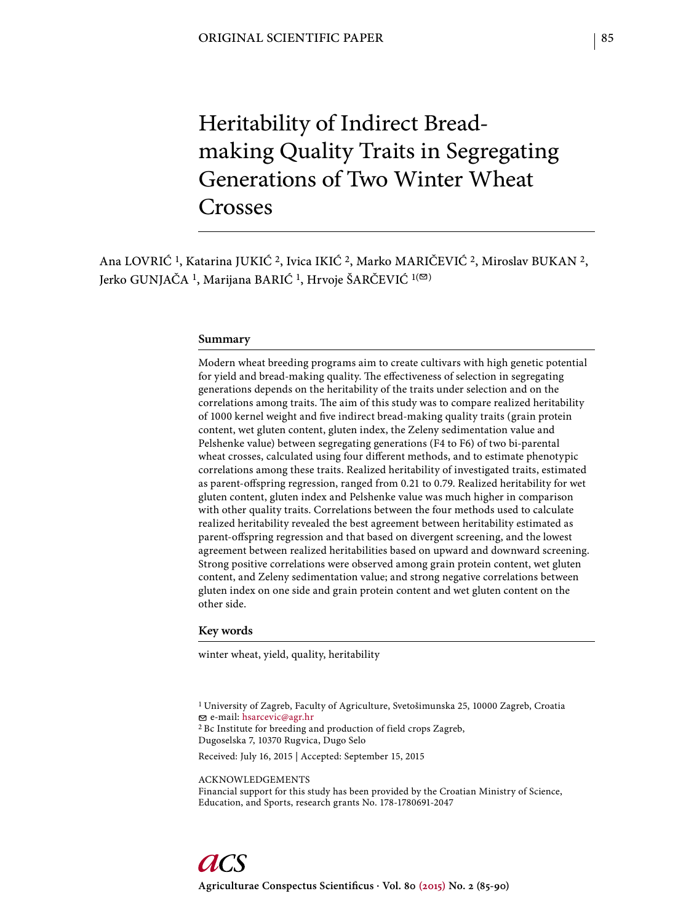# Heritability of Indirect Breadmaking Quality Traits in Segregating Generations of Two Winter Wheat Crosses

Ana LOVRIĆ 1, Katarina JUKIĆ 2, Ivica IKIĆ 2, Marko MARIČEVIĆ 2, Miroslav BUKAN 2, Jerko GUNJAČA<sup>1</sup>, Marijana BARIĆ<sup>1</sup>, Hrvoje ŠARČEVIĆ<sup>1(⊠)</sup>

#### **Summary**

Modern wheat breeding programs aim to create cultivars with high genetic potential for yield and bread-making quality. The effectiveness of selection in segregating generations depends on the heritability of the traits under selection and on the correlations among traits. The aim of this study was to compare realized heritability of 1000 kernel weight and five indirect bread-making quality traits (grain protein content, wet gluten content, gluten index, the Zeleny sedimentation value and Pelshenke value) between segregating generations (F4 to F6) of two bi-parental wheat crosses, calculated using four different methods, and to estimate phenotypic correlations among these traits. Realized heritability of investigated traits, estimated as parent-offspring regression, ranged from 0.21 to 0.79. Realized heritability for wet gluten content, gluten index and Pelshenke value was much higher in comparison with other quality traits. Correlations between the four methods used to calculate realized heritability revealed the best agreement between heritability estimated as parent-offspring regression and that based on divergent screening, and the lowest agreement between realized heritabilities based on upward and downward screening. Strong positive correlations were observed among grain protein content, wet gluten content, and Zeleny sedimentation value; and strong negative correlations between gluten index on one side and grain protein content and wet gluten content on the other side.

## **Key words**

winter wheat, yield, quality, heritability

1 University of Zagreb, Faculty of Agriculture, Svetošimunska 25, 10000 Zagreb, Croatia e-mail: hsarcevic@agr.hr 2 Bc Institute for breeding and production of field crops Zagreb, Dugoselska 7, 10370 Rugvica, Dugo Selo Received: July 16, 2015 | Accepted: September 15, 2015

ACKNOWLEDGEMENTS

Financial support for this study has been provided by the Croatian Ministry of Science, Education, and Sports, research grants No. 178-1780691-2047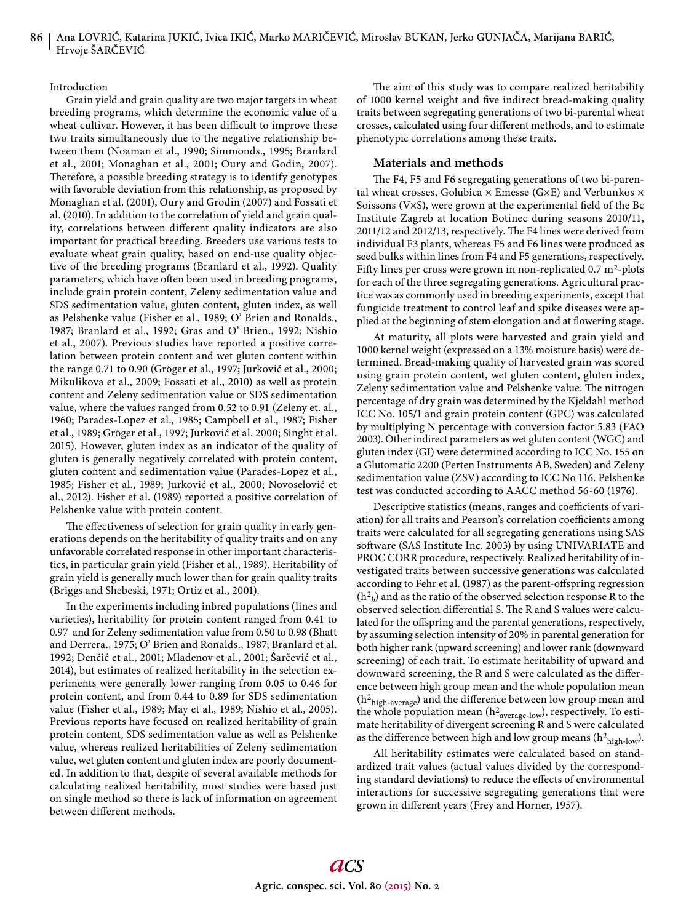## Introduction

Grain yield and grain quality are two major targets in wheat breeding programs, which determine the economic value of a wheat cultivar. However, it has been difficult to improve these two traits simultaneously due to the negative relationship between them (Noaman et al., 1990; Simmonds., 1995; Branlard et al., 2001; Monaghan et al., 2001; Oury and Godin, 2007). Therefore, a possible breeding strategy is to identify genotypes with favorable deviation from this relationship, as proposed by Monaghan et al. (2001), Oury and Grodin (2007) and Fossati et al. (2010). In addition to the correlation of yield and grain quality, correlations between different quality indicators are also important for practical breeding. Breeders use various tests to evaluate wheat grain quality, based on end-use quality objective of the breeding programs (Branlard et al., 1992). Quality parameters, which have often been used in breeding programs, include grain protein content, Zeleny sedimentation value and SDS sedimentation value, gluten content, gluten index, as well as Pelshenke value (Fisher et al., 1989; O' Brien and Ronalds., 1987; Branlard et al., 1992; Gras and O' Brien., 1992; Nishio et al., 2007). Previous studies have reported a positive correlation between protein content and wet gluten content within the range 0.71 to 0.90 (Gröger et al., 1997; Jurković et al., 2000; Mikulikova et al., 2009; Fossati et al., 2010) as well as protein content and Zeleny sedimentation value or SDS sedimentation value, where the values ranged from 0.52 to 0.91 (Zeleny et. al., 1960; Parades-Lopez et al., 1985; Campbell et al., 1987; Fisher et al., 1989; Gröger et al., 1997; Jurković et al. 2000; Singht et al. 2015). However, gluten index as an indicator of the quality of gluten is generally negatively correlated with protein content, gluten content and sedimentation value (Parades-Lopez et al., 1985; Fisher et al., 1989; Jurković et al., 2000; Novoselović et al., 2012). Fisher et al. (1989) reported a positive correlation of Pelshenke value with protein content.

The effectiveness of selection for grain quality in early generations depends on the heritability of quality traits and on any unfavorable correlated response in other important characteristics, in particular grain yield (Fisher et al., 1989). Heritability of grain yield is generally much lower than for grain quality traits (Briggs and Shebeski, 1971; Ortiz et al., 2001).

In the experiments including inbred populations (lines and varieties), heritability for protein content ranged from 0.41 to 0.97 and for Zeleny sedimentation value from 0.50 to 0.98 (Bhatt and Derrera., 1975; O' Brien and Ronalds., 1987; Branlard et al. 1992; Denčić et al., 2001; Mladenov et al., 2001; Šarčević et al., 2014), but estimates of realized heritability in the selection experiments were generally lower ranging from 0.05 to 0.46 for protein content, and from 0.44 to 0.89 for SDS sedimentation value (Fisher et al., 1989; May et al., 1989; Nishio et al., 2005). Previous reports have focused on realized heritability of grain protein content, SDS sedimentation value as well as Pelshenke value, whereas realized heritabilities of Zeleny sedimentation value, wet gluten content and gluten index are poorly documented. In addition to that, despite of several available methods for calculating realized heritability, most studies were based just on single method so there is lack of information on agreement between different methods.

The aim of this study was to compare realized heritability of 1000 kernel weight and five indirect bread-making quality traits between segregating generations of two bi-parental wheat crosses, calculated using four different methods, and to estimate phenotypic correlations among these traits.

## **Materials and methods**

The F4, F5 and F6 segregating generations of two bi-parental wheat crosses, Golubica  $\times$  Emesse (G $\times$ E) and Verbunkos  $\times$ Soissons ( $V\times S$ ), were grown at the experimental field of the Bc Institute Zagreb at location Botinec during seasons 2010/11, 2011/12 and 2012/13, respectively. The F4 lines were derived from individual F3 plants, whereas F5 and F6 lines were produced as seed bulks within lines from F4 and F5 generations, respectively. Fifty lines per cross were grown in non-replicated  $0.7 \text{ m}^2$ -plots for each of the three segregating generations. Agricultural practice was as commonly used in breeding experiments, except that fungicide treatment to control leaf and spike diseases were applied at the beginning of stem elongation and at flowering stage.

At maturity, all plots were harvested and grain yield and 1000 kernel weight (expressed on a 13% moisture basis) were determined. Bread-making quality of harvested grain was scored using grain protein content, wet gluten content, gluten index, Zeleny sedimentation value and Pelshenke value. The nitrogen percentage of dry grain was determined by the Kjeldahl method ICC No. 105/1 and grain protein content (GPC) was calculated by multiplying N percentage with conversion factor 5.83 (FAO 2003). Other indirect parameters as wet gluten content (WGC) and gluten index (GI) were determined according to ICC No. 155 on a Glutomatic 2200 (Perten Instruments AB, Sweden) and Zeleny sedimentation value (ZSV) according to ICC No 116. Pelshenke test was conducted according to AACC method 56-60 (1976).

Descriptive statistics (means, ranges and coefficients of variation) for all traits and Pearson's correlation coefficients among traits were calculated for all segregating generations using SAS software (SAS Institute Inc. 2003) by using UNIVARIATE and PROC CORR procedure, respectively. Realized heritability of investigated traits between successive generations was calculated according to Fehr et al. (1987) as the parent-offspring regression  $(\mathbf{h}^2_{\,b})$  and as the ratio of the observed selection response R to the observed selection differential S. The R and S values were calculated for the offspring and the parental generations, respectively, by assuming selection intensity of 20% in parental generation for both higher rank (upward screening) and lower rank (downward screening) of each trait. To estimate heritability of upward and downward screening, the R and S were calculated as the difference between high group mean and the whole population mean  $(\rm h^2_{\rm high-average})$  and the difference between low group mean and the whole population mean ( $h^2$ <sub>average-low</sub>), respectively. To estimate heritability of divergent screening R and S were calculated as the difference between high and low group means ( $h^2$ <sub>high-low</sub>).

All heritability estimates were calculated based on standardized trait values (actual values divided by the corresponding standard deviations) to reduce the effects of environmental interactions for successive segregating generations that were grown in different years (Frey and Horner, 1957).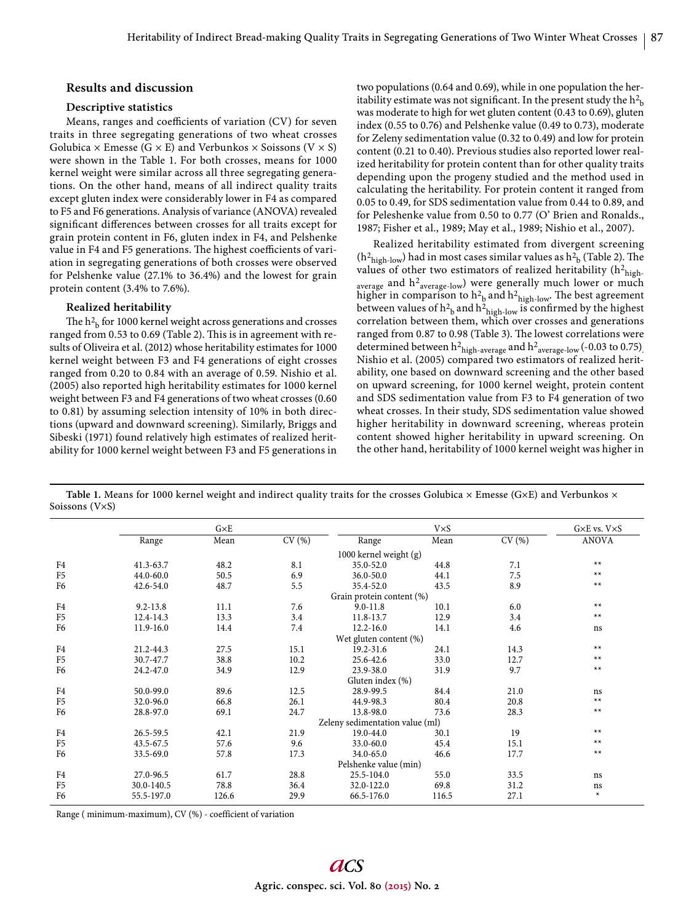## **Results and discussion**

## **Descriptive statistics**

Means, ranges and coefficients of variation (CV) for seven traits in three segregating generations of two wheat crosses Golubica  $\times$  Emesse (G  $\times$  E) and Verbunkos  $\times$  Soissons (V  $\times$  S) were shown in the Table 1. For both crosses, means for 1000 kernel weight were similar across all three segregating generations. On the other hand, means of all indirect quality traits except gluten index were considerably lower in F4 as compared to F5 and F6 generations. Analysis of variance (ANOVA) revealed significant differences between crosses for all traits except for grain protein content in F6, gluten index in F4, and Pelshenke value in F4 and F5 generations. The highest coefficients of variation in segregating generations of both crosses were observed for Pelshenke value (27.1% to 36.4%) and the lowest for grain protein content (3.4% to 7.6%).

#### **Realized heritability**

The  $\rm h^2_{\ b}$  for 1000 kernel weight across generations and crosses ranged from 0.53 to 0.69 (Table 2). This is in agreement with results of Oliveira et al. (2012) whose heritability estimates for 1000 kernel weight between F3 and F4 generations of eight crosses ranged from 0.20 to 0.84 with an average of 0.59. Nishio et al. (2005) also reported high heritability estimates for 1000 kernel weight between F3 and F4 generations of two wheat crosses (0.60 to 0.81) by assuming selection intensity of 10% in both directions (upward and downward screening). Similarly, Briggs and Sibeski (1971) found relatively high estimates of realized heritability for 1000 kernel weight between F3 and F5 generations in

two populations (0.64 and 0.69), while in one population the heritability estimate was not significant. In the present study the  $h^2$ <sub>b</sub> was moderate to high for wet gluten content (0.43 to 0.69), gluten index (0.55 to 0.76) and Pelshenke value (0.49 to 0.73), moderate for Zeleny sedimentation value (0.32 to 0.49) and low for protein content (0.21 to 0.40). Previous studies also reported lower realized heritability for protein content than for other quality traits depending upon the progeny studied and the method used in calculating the heritability. For protein content it ranged from 0.05 to 0.49, for SDS sedimentation value from 0.44 to 0.89, and for Peleshenke value from 0.50 to 0.77 (O' Brien and Ronalds., 1987; Fisher et al., 1989; May et al., 1989; Nishio et al., 2007).

Realized heritability estimated from divergent screening  $(h^2_{\text{high-low}})$  had in most cases similar values as  $h^2_{\text{b}}$  (Table 2). The values of other two estimators of realized heritability  $(h^2_{\text{high}})$ average and h<sup>2</sup><sub>average-low</sub>) were generally much lower or much higher in comparison to  $h<sup>2</sup><sub>b</sub>$  and  $h<sup>2</sup><sub>high-low</sub>$ . The best agreement between values of  $h<sup>2</sup>_{\text{b}}$  and  $h<sup>2</sup>_{\text{high-low}}$  is confirmed by the highest correlation between them, which over crosses and generations ranged from 0.87 to 0.98 (Table 3). The lowest correlations were determined between  $h^2$ <sub>high-average</sub> and  $h^2$ <sub>average-low</sub> (-0.03 to 0.75) Nishio et al. (2005) compared two estimators of realized heritability, one based on downward screening and the other based on upward screening, for 1000 kernel weight, protein content and SDS sedimentation value from F3 to F4 generation of two wheat crosses. In their study, SDS sedimentation value showed higher heritability in downward screening, whereas protein content showed higher heritability in upward screening. On the other hand, heritability of 1000 kernel weight was higher in

Table 1. Means for 1000 kernel weight and indirect quality traits for the crosses Golubica × Emesse (G×E) and Verbunkos × Soissons (V×S)

|                |                           | $G\times E$ |       |                                 | <b>V×S</b> |       |              |  |  |  |  |
|----------------|---------------------------|-------------|-------|---------------------------------|------------|-------|--------------|--|--|--|--|
|                | Range                     | Mean        | CV(%) | Range                           | Mean       | CV(%) | <b>ANOVA</b> |  |  |  |  |
|                |                           |             |       | 1000 kernel weight $(g)$        |            |       |              |  |  |  |  |
| F4             | 41.3-63.7                 | 48.2        | 8.1   | 35.0-52.0                       | 44.8       | 7.1   | $**$         |  |  |  |  |
| F <sub>5</sub> | 44.0-60.0                 | 50.5        | 6.9   | $36.0 - 50.0$                   | 44.1       | 7.5   | $**$         |  |  |  |  |
| F <sub>6</sub> | 42.6-54.0                 | 48.7        | 5.5   | 35.4-52.0                       | 43.5       | 8.9   | $**$         |  |  |  |  |
|                | Grain protein content (%) |             |       |                                 |            |       |              |  |  |  |  |
| F4             | $9.2 - 13.8$              | 11.1        | 7.6   | $9.0 - 11.8$                    | 10.1       | 6.0   | $**$         |  |  |  |  |
| F <sub>5</sub> | 12.4-14.3                 | 13.3        | 3.4   | 11.8-13.7                       | 12.9       | 3.4   | $**$         |  |  |  |  |
| F <sub>6</sub> | 11.9-16.0                 | 14.4        | 7.4   | $12.2 - 16.0$                   | 14.1       | 4.6   | ns           |  |  |  |  |
|                | Wet gluten content (%)    |             |       |                                 |            |       |              |  |  |  |  |
| F4             | 21.2-44.3                 | 27.5        | 15.1  | 19.2-31.6                       | 24.1       | 14.3  | $**$         |  |  |  |  |
| F <sub>5</sub> | 30.7-47.7                 | 38.8        | 10.2  | 25.6-42.6                       | 33.0       | 12.7  | $**$         |  |  |  |  |
| F <sub>6</sub> | 24.2-47.0                 | 34.9        | 12.9  | 23.9-38.0                       | 31.9       | 9.7   | $**$         |  |  |  |  |
|                |                           |             |       | Gluten index (%)                |            |       |              |  |  |  |  |
| F <sub>4</sub> | 50.0-99.0                 | 89.6        | 12.5  | 28.9-99.5                       | 84.4       | 21.0  | ns           |  |  |  |  |
| F <sub>5</sub> | 32.0-96.0                 | 66.8        | 26.1  | 44.9-98.3                       | 80.4       | 20.8  | $**$         |  |  |  |  |
| F <sub>6</sub> | 28.8-97.0                 | 69.1        | 24.7  | 13.8-98.0                       | 73.6       | 28.3  | $**$         |  |  |  |  |
|                |                           |             |       | Zeleny sedimentation value (ml) |            |       |              |  |  |  |  |
| F <sub>4</sub> | 26.5-59.5                 | 42.1        | 21.9  | 19.0-44.0                       | 30.1       | 19    | $**$         |  |  |  |  |
| F <sub>5</sub> | 43.5-67.5                 | 57.6        | 9.6   | $33.0 - 60.0$                   | 45.4       | 15.1  | $**$         |  |  |  |  |
| F <sub>6</sub> | 33.5-69.0                 | 57.8        | 17.3  | 34.0-65.0                       | 46.6       | 17.7  | $**$         |  |  |  |  |
|                |                           |             |       | Pelshenke value (min)           |            |       |              |  |  |  |  |
| F <sub>4</sub> | 27.0-96.5                 | 61.7        | 28.8  | 25.5-104.0                      | 55.0       | 33.5  | ns           |  |  |  |  |
| F <sub>5</sub> | 30.0-140.5                | 78.8        | 36.4  | 32.0-122.0                      | 69.8       | 31.2  | ns           |  |  |  |  |
| F <sub>6</sub> | 55.5-197.0                | 126.6       | 29.9  | 66.5-176.0                      | 116.5      | 27.1  | $\ast$       |  |  |  |  |

Range ( minimum-maximum), CV (%) - coefficient of variation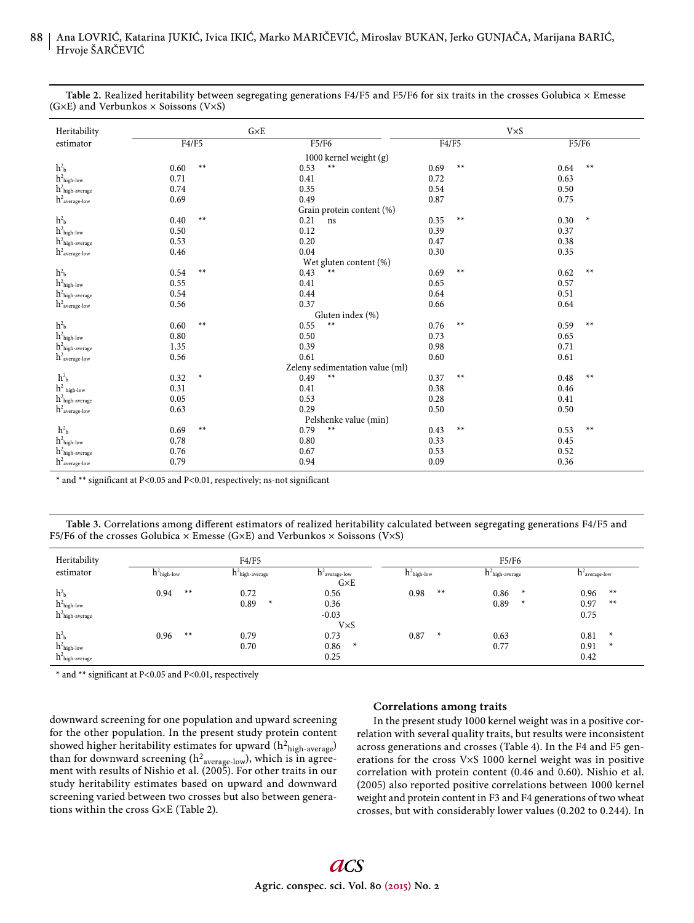| Heritability                           | $G\times E$    |                                 | $V\times S$  |                |  |  |  |  |  |  |
|----------------------------------------|----------------|---------------------------------|--------------|----------------|--|--|--|--|--|--|
| estimator                              | F4/F5          | F5/F6                           | F4/F5        | F5/F6          |  |  |  |  |  |  |
| 1000 kernel weight (g)                 |                |                                 |              |                |  |  |  |  |  |  |
| h <sup>2</sup> h                       | $**$<br>0.60   | $**$<br>0.53                    | $**$<br>0.69 | $**$<br>0.64   |  |  |  |  |  |  |
| $h^2_{\rm high\text{-}low}$            | 0.71           | 0.41                            | 0.72         | 0.63           |  |  |  |  |  |  |
| $h^2_{\ \rm high\text{-}average}$      | 0.74           | 0.35                            | 0.54         | 0.50           |  |  |  |  |  |  |
| $\,h^2_{\, \, average\text{-}low}$     | 0.69           | 0.49                            | 0.87         | 0.75           |  |  |  |  |  |  |
| Grain protein content (%)              |                |                                 |              |                |  |  |  |  |  |  |
| h <sup>2</sup> b                       | $**$<br>0.40   | 0.21<br>ns                      | $**$<br>0.35 | $\ast$<br>0.30 |  |  |  |  |  |  |
| $h^2_{\rm high\text{-}low}$            | 0.50           | 0.12                            | 0.39         | 0.37           |  |  |  |  |  |  |
| $h^2_{\phantom{2}high\text{-}average}$ | 0.53           | 0.20                            | 0.47         | 0.38           |  |  |  |  |  |  |
| $h^2_{\,\, \rm average\text{-}low}$    | 0.46           | 0.04                            | 0.30         | 0.35           |  |  |  |  |  |  |
|                                        |                | Wet gluten content (%)          |              |                |  |  |  |  |  |  |
| h <sup>2</sup> b                       | $**$<br>0.54   | $**$<br>0.43                    | $**$<br>0.69 | $**$<br>0.62   |  |  |  |  |  |  |
| $h^2$ high-low                         | 0.55           | 0.41                            | 0.65         | 0.57           |  |  |  |  |  |  |
| $h^2_{\ \rm high\text{-}average}$      | 0.54           | 0.44                            | 0.64         | 0.51           |  |  |  |  |  |  |
| $\,h^2_{\, \, average\text{-}low}$     | 0.56           | 0.37                            | 0.66         | 0.64           |  |  |  |  |  |  |
|                                        |                | Gluten index (%)                |              |                |  |  |  |  |  |  |
| $\mathbf{h}^2\mathbf{b}$               | $**$<br>0.60   | $**$<br>0.55                    | $**$<br>0.76 | $**$<br>0.59   |  |  |  |  |  |  |
| $h^2_{\rm high\text{-}low}$            | 0.80           | 0.50                            | 0.73         | 0.65           |  |  |  |  |  |  |
| $h^2_{\rm high\text{-}average}$        | 1.35           | 0.39                            | 0.98         | 0.71           |  |  |  |  |  |  |
| $h^2_{\,\, \rm average\text{-}low}$    | 0.56           | 0.61                            | 0.60         | 0.61           |  |  |  |  |  |  |
|                                        |                | Zeleny sedimentation value (ml) |              |                |  |  |  |  |  |  |
| h <sup>2</sup> b                       | 0.32<br>$\ast$ | $**$<br>0.49                    | $**$<br>0.37 | $**$<br>0.48   |  |  |  |  |  |  |
| $h^2$ high-low                         | 0.31           | 0.41                            | 0.38         | 0.46           |  |  |  |  |  |  |
| $h^2_{\rm high\text{-}average}$        | 0.05           | 0.53                            | 0.28         | 0.41           |  |  |  |  |  |  |
| $h^2_{\,\, \rm average\text{-}low}$    | 0.63           | 0.29                            | 0.50         | 0.50           |  |  |  |  |  |  |
| Pelshenke value (min)                  |                |                                 |              |                |  |  |  |  |  |  |
| h <sup>2</sup> b                       | 0.69<br>$**$   | $**$<br>0.79                    | $**$<br>0.43 | $**$<br>0.53   |  |  |  |  |  |  |
| $h^2$ high-low                         | 0.78           | 0.80                            | 0.33         | 0.45           |  |  |  |  |  |  |
| $h^2_{\rm high\text{-}average}$        | 0.76           | 0.67                            | 0.53         | 0.52           |  |  |  |  |  |  |
| $\,h^2_{\, \, average\text{-}low}$     | 0.79           | 0.94                            | 0.09         | 0.36           |  |  |  |  |  |  |

**Table 2.** Realized heritability between segregating generations F4/F5 and F5/F6 for six traits in the crosses Golubica × Emesse (G $\times$ E) and Verbunkos  $\times$  Soissons (V $\times$ S)

\* and \*\* significant at P<0.05 and P<0.01, respectively; ns-not significant

Table 3. Correlations among different estimators of realized heritability calculated between segregating generations F4/F5 and F5/F6 of the crosses Golubica  $\times$  Emesse (G $\times$ E) and Verbunkos  $\times$  Soissons (V $\times$ S)

| Heritability                           |                | F4/F5                                                       |                                | F5/F6           |                                  |                               |  |  |  |  |
|----------------------------------------|----------------|-------------------------------------------------------------|--------------------------------|-----------------|----------------------------------|-------------------------------|--|--|--|--|
| estimator                              | $h^2$ high-low | $h^2$ average-low<br>$\rm h^2$ high-average<br>$G \times E$ |                                |                 | $h^2$ high-average               | $h^2$ <sub>average-low</sub>  |  |  |  |  |
| h <sup>2</sup> b<br>$h^2$ high-low     | $**$<br>0.94   | 0.72<br>0.89<br>$\ast$                                      | 0.56<br>0.36                   | $**$<br>0.98    | 0.86<br>$\ast$<br>0.89<br>$\ast$ | $***$<br>0.96<br>0.97<br>$**$ |  |  |  |  |
| $h^2$ high-average<br>h <sup>2</sup> b | $**$<br>0.96   | 0.79                                                        | $-0.03$<br>$V\times S$<br>0.73 | 0.87<br>$\star$ | 0.63                             | 0.75<br>0.81<br>$\ast$        |  |  |  |  |
| $h^2$ high-low<br>$h^2$ high-average   |                | 0.70                                                        | 0.86<br>$\star$<br>0.25        |                 | 0.77                             | 0.91<br>$\ast$<br>0.42        |  |  |  |  |

\* and \*\* significant at P<0.05 and P<0.01, respectively

downward screening for one population and upward screening for the other population. In the present study protein content showed higher heritability estimates for upward  $(h^2_{\text{high-average}})$ than for downward screening (h $^2$ <sub>average-low</sub>), which is in agreement with results of Nishio et al. (2005). For other traits in our study heritability estimates based on upward and downward screening varied between two crosses but also between generations within the cross G×E (Table 2).

## **Correlations among traits**

In the present study 1000 kernel weight was in a positive correlation with several quality traits, but results were inconsistent across generations and crosses (Table 4). In the F4 and F5 generations for the cross V×S 1000 kernel weight was in positive correlation with protein content (0.46 and 0.60). Nishio et al. (2005) also reported positive correlations between 1000 kernel weight and protein content in F3 and F4 generations of two wheat crosses, but with considerably lower values (0.202 to 0.244). In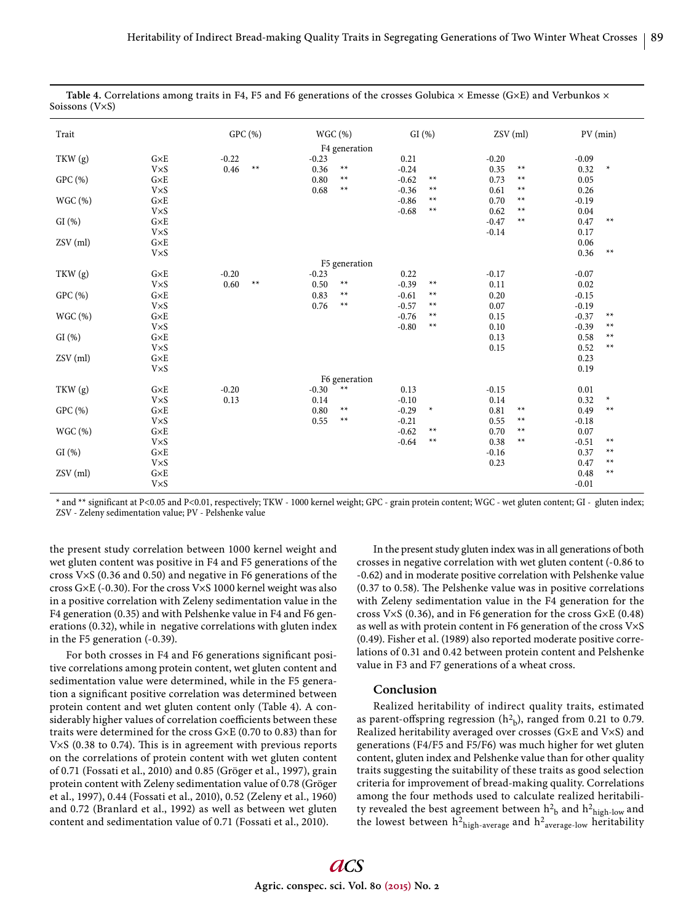| Trait    |              |         | GPC (%) |         | WGC (%)       | GI(%)   |        |         | ZSV (ml)     | PV (min) |        |  |
|----------|--------------|---------|---------|---------|---------------|---------|--------|---------|--------------|----------|--------|--|
|          |              |         |         |         | F4 generation |         |        |         |              |          |        |  |
| TKW (g)  | $G \times E$ | $-0.22$ |         | $-0.23$ |               | 0.21    |        | $-0.20$ |              | $-0.09$  |        |  |
|          | <b>V×S</b>   | 0.46    | $**$    | 0.36    | $**$          | $-0.24$ |        | 0.35    | $**$         | 0.32     | $\ast$ |  |
| GPC (%)  | $G\times E$  |         |         | 0.80    | $**$          | $-0.62$ | $**$   | 0.73    | $\star\star$ | 0.05     |        |  |
|          | $V\times S$  |         |         | 0.68    | $**$          | $-0.36$ | $**$   | 0.61    | $\star\star$ | 0.26     |        |  |
| WGC (%)  | $G \times E$ |         |         |         |               | $-0.86$ | $**$   | 0.70    | $**$         | $-0.19$  |        |  |
|          | <b>V×S</b>   |         |         |         |               | $-0.68$ | $**$   | 0.62    | $**$         | 0.04     |        |  |
| GI(%)    | $G \times E$ |         |         |         |               |         |        | $-0.47$ | $**$         | 0.47     | $**$   |  |
|          | <b>V×S</b>   |         |         |         |               |         |        | $-0.14$ |              | 0.17     |        |  |
| ZSV (ml) | $G \times E$ |         |         |         |               |         |        |         |              | 0.06     |        |  |
|          | <b>V×S</b>   |         |         |         |               |         |        |         |              | 0.36     | $**$   |  |
|          |              |         |         |         | F5 generation |         |        |         |              |          |        |  |
| TKW (g)  | $G \times E$ | $-0.20$ |         | $-0.23$ |               | 0.22    |        | $-0.17$ |              | $-0.07$  |        |  |
|          | <b>V×S</b>   | 0.60    | $**$    | 0.50    | $***$         | $-0.39$ | $**$   | 0.11    |              | 0.02     |        |  |
| GPC (%)  | $G\times E$  |         |         | 0.83    | $**$          | $-0.61$ | $***$  | 0.20    |              | $-0.15$  |        |  |
|          | <b>V×S</b>   |         |         | 0.76    | $**$          | $-0.57$ | $**$   | 0.07    |              | $-0.19$  |        |  |
| WGC (%)  | $G \times E$ |         |         |         |               | $-0.76$ | $**$   | 0.15    |              | $-0.37$  | $**$   |  |
|          | <b>V×S</b>   |         |         |         |               | $-0.80$ | $**$   | 0.10    |              | $-0.39$  | $**$   |  |
| GI(%)    | $G \times E$ |         |         |         |               |         |        | 0.13    |              | 0.58     | $**$   |  |
|          | <b>V×S</b>   |         |         |         |               |         |        | 0.15    |              | 0.52     | $**$   |  |
| ZSV (ml) | $G \times E$ |         |         |         |               |         |        |         |              | 0.23     |        |  |
|          | <b>V×S</b>   |         |         |         |               |         |        |         |              | 0.19     |        |  |
|          |              |         |         |         | F6 generation |         |        |         |              |          |        |  |
| TKW (g)  | $G\times E$  | $-0.20$ |         | $-0.30$ | $**$          | 0.13    |        | $-0.15$ |              | $0.01\,$ |        |  |
|          | <b>V×S</b>   | 0.13    |         | 0.14    |               | $-0.10$ |        | 0.14    |              | 0.32     | $\ast$ |  |
| GPC (%)  | $G\times E$  |         |         | 0.80    | $***$         | $-0.29$ | $\ast$ | 0.81    | $\star\star$ | 0.49     | $**$   |  |
|          | <b>V×S</b>   |         |         | 0.55    | $**$          | $-0.21$ |        | 0.55    | $\star\star$ | $-0.18$  |        |  |
| WGC (%)  | $G \times E$ |         |         |         |               | $-0.62$ | $**$   | 0.70    | $**$         | 0.07     |        |  |
|          | <b>V×S</b>   |         |         |         |               | $-0.64$ | $**$   | 0.38    | $**$         | $-0.51$  | $**$   |  |
| GI(%)    | $G \times E$ |         |         |         |               |         |        | $-0.16$ |              | 0.37     | $**$   |  |
|          | <b>V×S</b>   |         |         |         |               |         |        | 0.23    |              | 0.47     | $**$   |  |
| ZSV (ml) | $G\times E$  |         |         |         |               |         |        |         |              | 0.48     | $**$   |  |
|          | <b>V×S</b>   |         |         |         |               |         |        |         |              | $-0.01$  |        |  |

Table 4. Correlations among traits in F4, F5 and F6 generations of the crosses Golubica × Emesse (G×E) and Verbunkos × Soissons (V×S)

\* and \*\* significant at P<0.05 and P<0.01, respectively; TKW - 1000 kernel weight; GPC - grain protein content; WGC - wet gluten content; GI - gluten index; ZSV - Zeleny sedimentation value; PV - Pelshenke value

the present study correlation between 1000 kernel weight and wet gluten content was positive in F4 and F5 generations of the cross V×S (0.36 and 0.50) and negative in F6 generations of the cross G×E (-0.30). For the cross V×S 1000 kernel weight was also in a positive correlation with Zeleny sedimentation value in the F4 generation (0.35) and with Pelshenke value in F4 and F6 generations (0.32), while in negative correlations with gluten index in the F5 generation (-0.39).

For both crosses in F4 and F6 generations significant positive correlations among protein content, wet gluten content and sedimentation value were determined, while in the F5 generation a significant positive correlation was determined between protein content and wet gluten content only (Table 4). A considerably higher values of correlation coefficients between these traits were determined for the cross G×E (0.70 to 0.83) than for V $\times$ S (0.38 to 0.74). This is in agreement with previous reports on the correlations of protein content with wet gluten content of 0.71 (Fossati et al., 2010) and 0.85 (Gröger et al., 1997), grain protein content with Zeleny sedimentation value of 0.78 (Gröger et al., 1997), 0.44 (Fossati et al., 2010), 0.52 (Zeleny et al., 1960) and 0.72 (Branlard et al., 1992) as well as between wet gluten content and sedimentation value of 0.71 (Fossati et al., 2010).

In the present study gluten index was in all generations of both crosses in negative correlation with wet gluten content (-0.86 to -0.62) and in moderate positive correlation with Pelshenke value ( $0.37$  to  $0.58$ ). The Pelshenke value was in positive correlations with Zeleny sedimentation value in the F4 generation for the cross V×S (0.36), and in F6 generation for the cross G×E (0.48) as well as with protein content in F6 generation of the cross V×S (0.49). Fisher et al. (1989) also reported moderate positive correlations of 0.31 and 0.42 between protein content and Pelshenke value in F3 and F7 generations of a wheat cross.

## **Conclusion**

Realized heritability of indirect quality traits, estimated as parent-offspring regression  $(h^2_b)$ , ranged from 0.21 to 0.79. Realized heritability averaged over crosses (G×E and V×S) and generations (F4/F5 and F5/F6) was much higher for wet gluten content, gluten index and Pelshenke value than for other quality traits suggesting the suitability of these traits as good selection criteria for improvement of bread-making quality. Correlations among the four methods used to calculate realized heritability revealed the best agreement between  $h^2$ <sub>b</sub> and  $h^2$ <sub>high-low</sub> and the lowest between  $h^2$ <sub>high-average</sub> and  $h^2$ <sub>average-low</sub> heritability